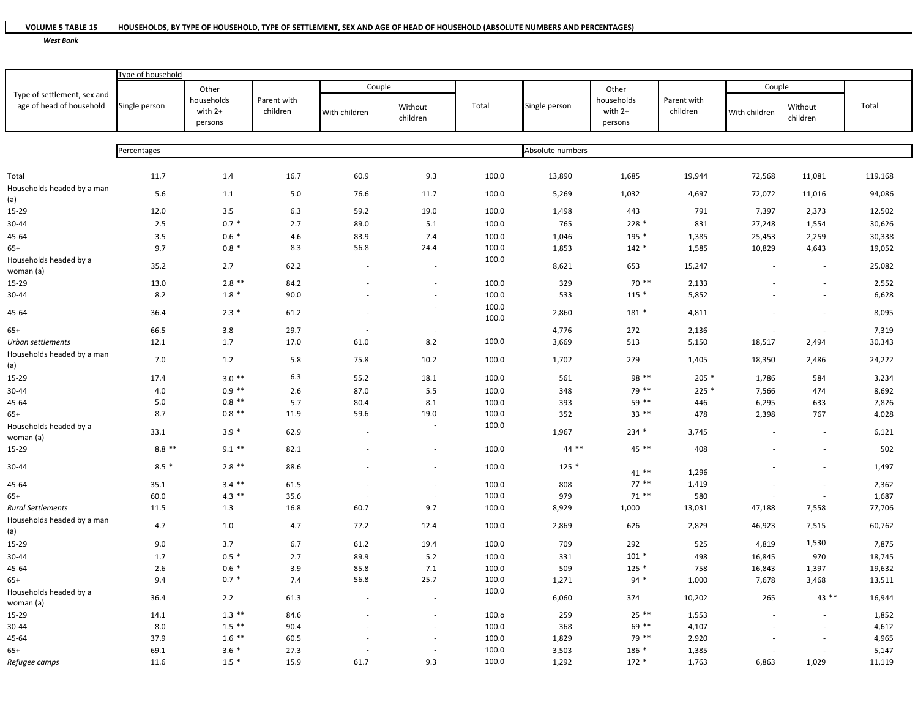## **VOLUME 5**HOUSEHOLDS, BY TYPE OF HOUSEHOLD, TYPE OF SETTLEMENT, SEX AND AGE OF HEAD OF HOUSEHOLD (ABSOLUTE NUMBERS AND PERCENTAGES)

*West Bank*

|                                                         | Type of household |                                             |                         |               |                          |                |                  |                                  |                         |               |                          |         |
|---------------------------------------------------------|-------------------|---------------------------------------------|-------------------------|---------------|--------------------------|----------------|------------------|----------------------------------|-------------------------|---------------|--------------------------|---------|
| Type of settlement, sex and<br>age of head of household | Single person     | Other<br>households<br>with $2+$<br>persons | Parent with<br>children | Couple        |                          |                |                  | Other                            |                         | Couple        |                          |         |
|                                                         |                   |                                             |                         | With children | Without<br>children      | Total          | Single person    | households<br>with 2+<br>persons | Parent with<br>children | With children | Without<br>children      | Total   |
|                                                         |                   |                                             |                         |               |                          |                |                  |                                  |                         |               |                          |         |
|                                                         | Percentages       |                                             |                         |               |                          |                | Absolute numbers |                                  |                         |               |                          |         |
|                                                         | 11.7              |                                             | 16.7                    | 60.9          | 9.3                      | 100.0          | 13,890           | 1,685                            | 19,944                  | 72,568        |                          | 119,168 |
| Total<br>Households headed by a man                     |                   | 1.4                                         |                         |               |                          |                |                  |                                  |                         |               | 11,081                   |         |
| (a)                                                     | 5.6               | 1.1                                         | $5.0\,$                 | 76.6          | 11.7                     | 100.0          | 5,269            | 1,032                            | 4,697                   | 72,072        | 11,016                   | 94,086  |
| 15-29                                                   | 12.0              | 3.5                                         | 6.3                     | 59.2          | 19.0                     | 100.0          | 1,498            | 443                              | 791                     | 7,397         | 2,373                    | 12,502  |
| 30-44                                                   | 2.5               | $0.7 *$                                     | 2.7                     | 89.0          | $5.1\,$                  | 100.0          | 765              | 228 *                            | 831                     | 27,248        | 1,554                    | 30,626  |
| 45-64                                                   | 3.5               | $0.6*$                                      | 4.6                     | 83.9          | 7.4                      | 100.0          | 1,046            | 195 *                            | 1,385                   | 25,453        | 2,259                    | 30,338  |
| $65+$                                                   | 9.7               | $0.8 *$                                     | 8.3                     | 56.8          | 24.4                     | 100.0          | 1,853            | $142 *$                          | 1,585                   | 10,829        | 4,643                    | 19,052  |
| Households headed by a<br>woman (a)                     | 35.2              | 2.7                                         | 62.2                    |               |                          | 100.0          | 8,621            | 653                              | 15,247                  |               |                          | 25,082  |
| 15-29                                                   | 13.0              | $2.8$ **                                    | 84.2                    |               |                          | 100.0          | 329              | $70**$                           | 2,133                   |               |                          | 2,552   |
| 30-44                                                   | 8.2               | $1.8*$                                      | 90.0                    |               | $\overline{\phantom{a}}$ | 100.0          | 533              | $115 *$                          | 5,852                   |               | $\overline{a}$           | 6,628   |
| 45-64                                                   | 36.4              | $2.3*$                                      | 61.2                    |               |                          | 100.0<br>100.0 | 2,860            | 181 *                            | 4,811                   |               |                          | 8,095   |
| $65+$                                                   | 66.5              | 3.8                                         | 29.7                    |               |                          |                | 4,776            | 272                              | 2,136                   |               |                          | 7,319   |
| Urban settlements                                       | 12.1              | 1.7                                         | 17.0                    | 61.0          | 8.2                      | 100.0          | 3,669            | 513                              | 5,150                   | 18,517        | 2,494                    | 30,343  |
| Households headed by a man<br>(a)                       | 7.0               | 1.2                                         | 5.8                     | 75.8          | 10.2                     | 100.0          | 1,702            | 279                              | 1,405                   | 18,350        | 2,486                    | 24,222  |
| 15-29                                                   | 17.4              | $3.0**$                                     | 6.3                     | 55.2          | 18.1                     | 100.0          | 561              | 98 **                            | $205*$                  | 1,786         | 584                      | 3,234   |
| 30-44                                                   | 4.0               | $0.9$ **                                    | 2.6                     | 87.0          | 5.5                      | 100.0          | 348              | 79 **                            | $225*$                  | 7,566         | 474                      | 8,692   |
| 45-64                                                   | 5.0               | $0.8$ **                                    | 5.7                     | 80.4          | 8.1                      | 100.0          | 393              | 59 **                            | 446                     | 6,295         | 633                      | 7,826   |
| $65+$                                                   | 8.7               | $0.8$ **                                    | 11.9                    | 59.6          | 19.0                     | 100.0          | 352              | $33***$                          | 478                     | 2,398         | 767                      | 4,028   |
| Households headed by a<br>woman (a)                     | 33.1              | $3.9*$                                      | 62.9                    |               | ÷,                       | 100.0          | 1,967            | 234 *                            | 3,745                   |               |                          | 6,121   |
| 15-29                                                   | $8.8***$          | $9.1$ **                                    | 82.1                    |               |                          | 100.0          | $44$ **          | $45***$                          | 408                     |               |                          | 502     |
| 30-44                                                   | $8.5*$            | $2.8$ **                                    | 88.6                    |               | ÷                        | 100.0          | $125*$           | $41**$                           | 1,296                   |               |                          | 1,497   |
| 45-64                                                   | 35.1              | $3.4$ **                                    | 61.5                    |               | $\sim$                   | 100.0          | 808              | $77***$                          | 1,419                   |               |                          | 2,362   |
| $65+$                                                   | 60.0              | $4.3$ **                                    | 35.6                    |               | $\sim$                   | 100.0          | 979              | $71$ **                          | 580                     |               |                          | 1,687   |
| <b>Rural Settlements</b>                                | 11.5              | 1.3                                         | 16.8                    | 60.7          | 9.7                      | 100.0          | 8,929            | 1,000                            | 13,031                  | 47,188        | 7,558                    | 77,706  |
| Households headed by a man<br>(a)                       | 4.7               | 1.0                                         | 4.7                     | 77.2          | 12.4                     | 100.0          | 2,869            | 626                              | 2,829                   | 46,923        | 7,515                    | 60,762  |
| 15-29                                                   | 9.0               | 3.7                                         | 6.7                     | 61.2          | 19.4                     | 100.0          | 709              | 292                              | 525                     | 4,819         | 1,530                    | 7,875   |
| 30-44                                                   | 1.7               | $0.5*$                                      | 2.7                     | 89.9          | 5.2                      | 100.0          | 331              | $101 *$                          | 498                     | 16,845        | 970                      | 18,745  |
| 45-64                                                   | 2.6               | $0.6*$                                      | 3.9                     | 85.8          | 7.1                      | 100.0          | 509              | $125*$                           | 758                     | 16,843        | 1,397                    | 19,632  |
| $65+$                                                   | 9.4               | $0.7 *$                                     | 7.4                     | 56.8          | 25.7                     | 100.0          | 1,271            | $94*$                            | 1,000                   | 7,678         | 3,468                    | 13,511  |
| Households headed by a<br>woman (a)                     | 36.4              | 2.2                                         | 61.3                    |               |                          | 100.0          | 6,060            | 374                              | 10,202                  | 265           | 43 **                    | 16,944  |
| 15-29                                                   | 14.1              | $1.3$ **                                    | 84.6                    |               | ÷,                       | 100.o          | 259              | $25***$                          | 1,553                   |               |                          | 1,852   |
| 30-44                                                   | 8.0               | $1.5$ **                                    | 90.4                    |               | ÷,                       | 100.0          | 368              | 69 **                            | 4,107                   |               | $\overline{\phantom{a}}$ | 4,612   |
| 45-64                                                   | 37.9              | $1.6$ **                                    | 60.5                    |               | ä,                       | 100.0          | 1,829            | 79 **                            | 2,920                   |               |                          | 4,965   |
| 65+                                                     | 69.1              | $3.6*$                                      | 27.3                    |               |                          | 100.0          | 3,503            | 186 *                            | 1,385                   |               |                          | 5,147   |
| Refugee camps                                           | 11.6              | $1.5 *$                                     | 15.9                    | 61.7          | 9.3                      | 100.0          | 1,292            | $172 *$                          | 1,763                   | 6,863         | 1,029                    | 11,119  |